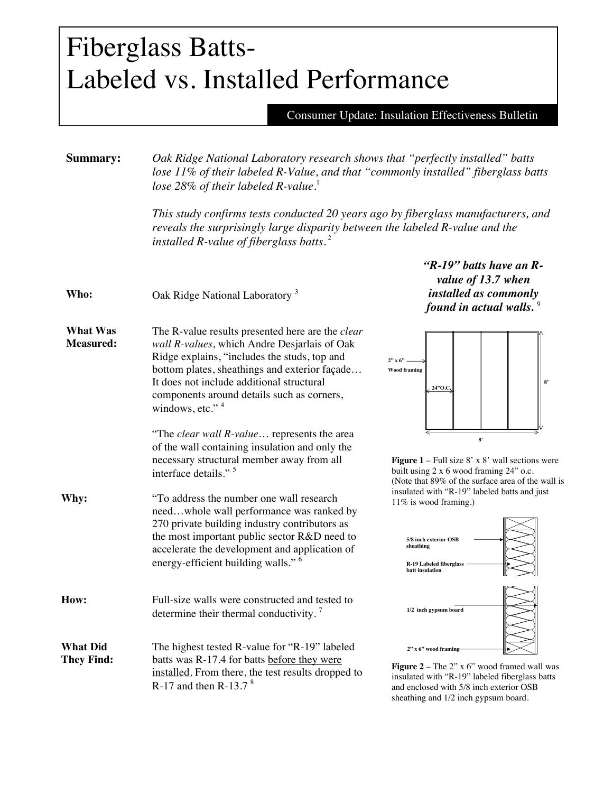## Fiberglass Batts-Labeled vs. Installed Performance

Consumer Update: Insulation Effectiveness Bulletin

sheathing and 1/2 inch gypsum board.

| Summary:                             | Oak Ridge National Laboratory research shows that "perfectly installed" batts<br>lose 11% of their labeled R-Value, and that "commonly installed" fiberglass batts<br>lose 28% of their labeled R-value.<br>This study confirms tests conducted 20 years ago by fiberglass manufacturers, and<br>reveals the surprisingly large disparity between the labeled R-value and the<br>installed R-value of fiberglass batts. $2$ |                                                                                                                                                                      |
|--------------------------------------|-----------------------------------------------------------------------------------------------------------------------------------------------------------------------------------------------------------------------------------------------------------------------------------------------------------------------------------------------------------------------------------------------------------------------------|----------------------------------------------------------------------------------------------------------------------------------------------------------------------|
|                                      |                                                                                                                                                                                                                                                                                                                                                                                                                             |                                                                                                                                                                      |
| Who:                                 | Oak Ridge National Laboratory <sup>3</sup>                                                                                                                                                                                                                                                                                                                                                                                  | " $R-19$ " batts have an $R-$<br>value of 13.7 when<br>installed as commonly<br>found in actual walls. $9$                                                           |
| <b>What Was</b><br><b>Measured:</b>  | The R-value results presented here are the clear<br>wall R-values, which Andre Desjarlais of Oak<br>Ridge explains, "includes the studs, top and<br>bottom plates, sheathings and exterior façade<br>It does not include additional structural<br>components around details such as corners,<br>windows, etc." <sup>4</sup>                                                                                                 | $2" \times 6"$<br><b>Wood framing</b><br>24"O.C.                                                                                                                     |
|                                      | "The clear wall R-value represents the area<br>of the wall containing insulation and only the<br>necessary structural member away from all<br>interface details." <sup>5</sup>                                                                                                                                                                                                                                              | 8'<br><b>Figure 1</b> – Full size $8' \times 8'$ wall sections were<br>built using 2 x 6 wood framing 24" o.c.<br>(Note that 89% of the surface area of the wall is  |
| Why:                                 | "To address the number one wall research<br>needwhole wall performance was ranked by<br>270 private building industry contributors as<br>the most important public sector R&D need to<br>accelerate the development and application of<br>energy-efficient building walls." <sup>6</sup>                                                                                                                                    | insulated with "R-19" labeled batts and just<br>11% is wood framing.)<br>5/8 inch exterior OSB<br>sheathing<br>R-19 Labeled fiberglass<br>batt insulation            |
| How:                                 | Full-size walls were constructed and tested to<br>determine their thermal conductivity. $\frac{7}{1}$                                                                                                                                                                                                                                                                                                                       | 1/2 inch gypsum board                                                                                                                                                |
| <b>What Did</b><br><b>They Find:</b> | The highest tested R-value for "R-19" labeled<br>batts was R-17.4 for batts before they were<br>installed. From there, the test results dropped to<br>R-17 and then R-13.7 $8$                                                                                                                                                                                                                                              | $2"$ x 6" wood framing<br>Figure $2$ – The 2" x 6" wood framed wall was<br>insulated with "R-19" labeled fiberglass batts<br>and enclosed with 5/8 inch exterior OSB |